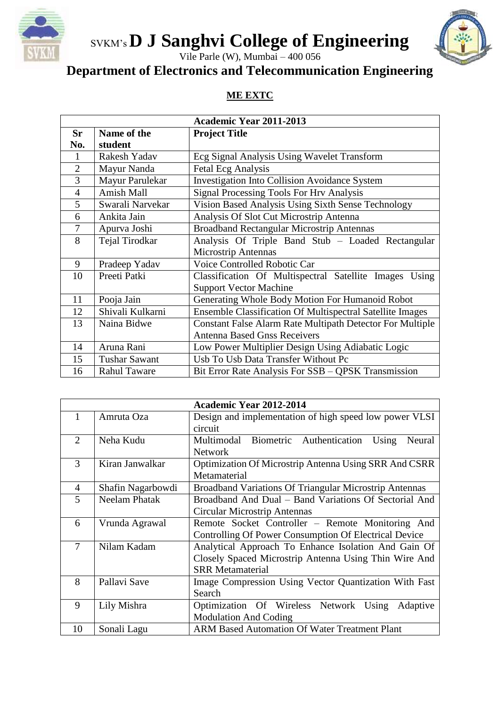

## SVKM's **D J Sanghvi College of Engineering**

Vile Parle (W), Mumbai – 400 056

#### **Department of Electronics and Telecommunication Engineering**

#### **ME EXTC**

| <b>Academic Year 2011-2013</b> |                      |                                                                  |
|--------------------------------|----------------------|------------------------------------------------------------------|
| <b>Sr</b>                      | Name of the          | <b>Project Title</b>                                             |
| No.                            | student              |                                                                  |
| 1                              | Rakesh Yadav         | Ecg Signal Analysis Using Wavelet Transform                      |
| $\overline{2}$                 | Mayur Nanda          | <b>Fetal Ecg Analysis</b>                                        |
| 3                              | Mayur Parulekar      | <b>Investigation Into Collision Avoidance System</b>             |
| $\overline{4}$                 | <b>Amish Mall</b>    | <b>Signal Processing Tools For Hrv Analysis</b>                  |
| 5                              | Swarali Narvekar     | Vision Based Analysis Using Sixth Sense Technology               |
| 6                              | Ankita Jain          | Analysis Of Slot Cut Microstrip Antenna                          |
| $\tau$                         | Apurva Joshi         | <b>Broadband Rectangular Microstrip Antennas</b>                 |
| 8                              | Tejal Tirodkar       | Analysis Of Triple Band Stub - Loaded Rectangular                |
|                                |                      | <b>Microstrip Antennas</b>                                       |
| 9                              | Pradeep Yadav        | Voice Controlled Robotic Car                                     |
| 10                             | Preeti Patki         | Classification Of Multispectral Satellite Images Using           |
|                                |                      | <b>Support Vector Machine</b>                                    |
| 11                             | Pooja Jain           | Generating Whole Body Motion For Humanoid Robot                  |
| 12                             | Shivali Kulkarni     | <b>Ensemble Classification Of Multispectral Satellite Images</b> |
| 13                             | Naina Bidwe          | <b>Constant False Alarm Rate Multipath Detector For Multiple</b> |
|                                |                      | <b>Antenna Based Gnss Receivers</b>                              |
| 14                             | Aruna Rani           | Low Power Multiplier Design Using Adiabatic Logic                |
| 15                             | <b>Tushar Sawant</b> | Usb To Usb Data Transfer Without Pc                              |
| 16                             | <b>Rahul Taware</b>  | Bit Error Rate Analysis For SSB - QPSK Transmission              |

| <b>Academic Year 2012-2014</b> |                      |                                                               |
|--------------------------------|----------------------|---------------------------------------------------------------|
| 1                              | Amruta Oza           | Design and implementation of high speed low power VLSI        |
|                                |                      | circuit                                                       |
| $\overline{2}$                 | Neha Kudu            | Multimodal<br>Biometric Authentication<br>Using<br>Neural     |
|                                |                      | <b>Network</b>                                                |
| 3                              | Kiran Janwalkar      | Optimization Of Microstrip Antenna Using SRR And CSRR         |
|                                |                      | Metamaterial                                                  |
| 4                              | Shafin Nagarbowdi    | <b>Broadband Variations Of Triangular Microstrip Antennas</b> |
| 5                              | <b>Neelam Phatak</b> | Broadband And Dual – Band Variations Of Sectorial And         |
|                                |                      | Circular Microstrip Antennas                                  |
| 6                              | Vrunda Agrawal       | Remote Socket Controller – Remote Monitoring And              |
|                                |                      | Controlling Of Power Consumption Of Electrical Device         |
| 7                              | Nilam Kadam          | Analytical Approach To Enhance Isolation And Gain Of          |
|                                |                      | Closely Spaced Microstrip Antenna Using Thin Wire And         |
|                                |                      | <b>SRR Metamaterial</b>                                       |
| 8                              | Pallavi Save         | Image Compression Using Vector Quantization With Fast         |
|                                |                      | Search                                                        |
| 9                              | Lily Mishra          | Optimization Of Wireless Network Using<br>Adaptive            |
|                                |                      | <b>Modulation And Coding</b>                                  |
| 10                             | Sonali Lagu          | <b>ARM Based Automation Of Water Treatment Plant</b>          |

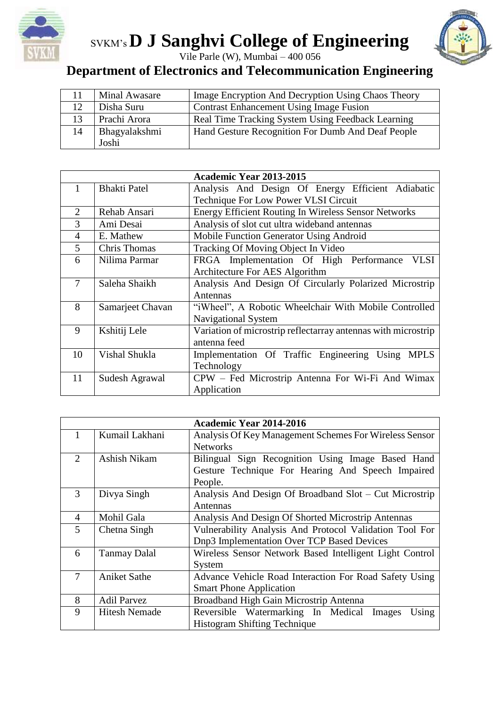

# SVKM's **D J Sanghvi College of Engineering**



Vile Parle (W), Mumbai – 400 056

## **Department of Electronics and Telecommunication Engineering**

|    | Minal Awasare | Image Encryption And Decryption Using Chaos Theory |
|----|---------------|----------------------------------------------------|
|    | Disha Suru    | <b>Contrast Enhancement Using Image Fusion</b>     |
| 13 | Prachi Arora  | Real Time Tracking System Using Feedback Learning  |
| 14 | Bhagyalakshmi | Hand Gesture Recognition For Dumb And Deaf People  |
|    | Joshi         |                                                    |

| <b>Academic Year 2013-2015</b> |                     |                                                               |
|--------------------------------|---------------------|---------------------------------------------------------------|
| 1                              | <b>Bhakti Patel</b> | Analysis And Design Of Energy Efficient Adiabatic             |
|                                |                     | Technique For Low Power VLSI Circuit                          |
| $\overline{2}$                 | Rehab Ansari        | <b>Energy Efficient Routing In Wireless Sensor Networks</b>   |
| 3                              | Ami Desai           | Analysis of slot cut ultra wideband antennas                  |
| $\overline{4}$                 | E. Mathew           | Mobile Function Generator Using Android                       |
| 5                              | Chris Thomas        | Tracking Of Moving Object In Video                            |
| 6                              | Nilima Parmar       | FRGA Implementation Of High Performance<br><b>VLSI</b>        |
|                                |                     | Architecture For AES Algorithm                                |
| 7                              | Saleha Shaikh       | Analysis And Design Of Circularly Polarized Microstrip        |
|                                |                     | Antennas                                                      |
| 8                              | Samarjeet Chavan    | "iWheel", A Robotic Wheelchair With Mobile Controlled         |
|                                |                     | Navigational System                                           |
| 9                              | Kshitij Lele        | Variation of microstrip reflectarray antennas with microstrip |
|                                |                     | antenna feed                                                  |
| 10                             | Vishal Shukla       | Implementation Of Traffic Engineering Using MPLS              |
|                                |                     | Technology                                                    |
| 11                             | Sudesh Agrawal      | CPW - Fed Microstrip Antenna For Wi-Fi And Wimax              |
|                                |                     | Application                                                   |

| <b>Academic Year 2014-2016</b> |                      |                                                         |
|--------------------------------|----------------------|---------------------------------------------------------|
| 1                              | Kumail Lakhani       | Analysis Of Key Management Schemes For Wireless Sensor  |
|                                |                      | <b>Networks</b>                                         |
| 2                              | Ashish Nikam         | Bilingual Sign Recognition Using Image Based Hand       |
|                                |                      | Gesture Technique For Hearing And Speech Impaired       |
|                                |                      | People.                                                 |
| 3                              | Divya Singh          | Analysis And Design Of Broadband Slot - Cut Microstrip  |
|                                |                      | Antennas                                                |
| $\overline{4}$                 | Mohil Gala           | Analysis And Design Of Shorted Microstrip Antennas      |
| 5                              | Chetna Singh         | Vulnerability Analysis And Protocol Validation Tool For |
|                                |                      | Dnp3 Implementation Over TCP Based Devices              |
| 6                              | <b>Tanmay Dalal</b>  | Wireless Sensor Network Based Intelligent Light Control |
|                                |                      | System                                                  |
| $\overline{7}$                 | <b>Aniket Sathe</b>  | Advance Vehicle Road Interaction For Road Safety Using  |
|                                |                      | <b>Smart Phone Application</b>                          |
| 8                              | <b>Adil Parvez</b>   | Broadband High Gain Microstrip Antenna                  |
| 9                              | <b>Hitesh Nemade</b> | Reversible Watermarking In Medical<br>Using<br>Images   |
|                                |                      | <b>Histogram Shifting Technique</b>                     |